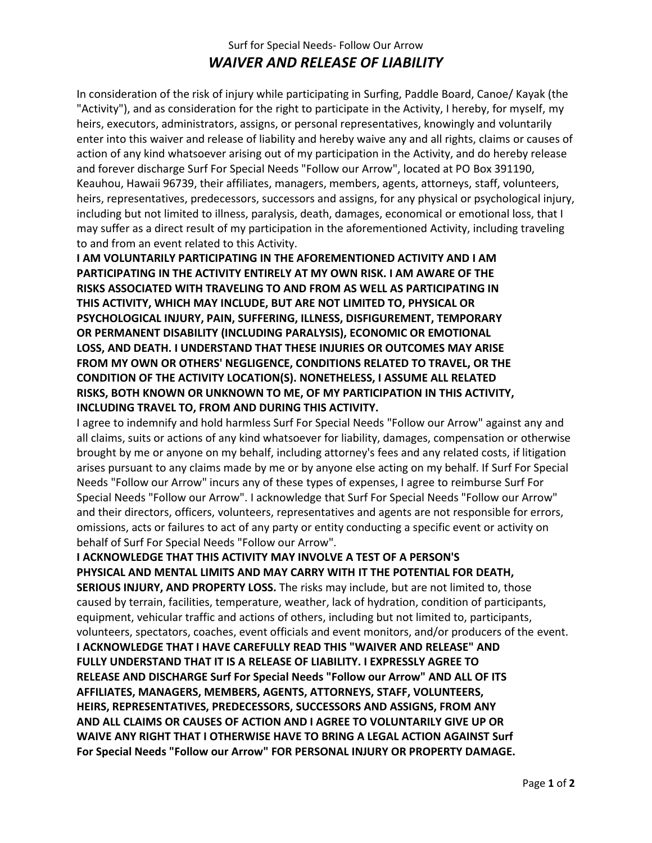## Surf for Special Needs- Follow Our Arrow *WAIVER AND RELEASE OF LIABILITY*

In consideration of the risk of injury while participating in Surfing, Paddle Board, Canoe/ Kayak (the "Activity"), and as consideration for the right to participate in the Activity, I hereby, for myself, my heirs, executors, administrators, assigns, or personal representatives, knowingly and voluntarily enter into this waiver and release of liability and hereby waive any and all rights, claims or causes of action of any kind whatsoever arising out of my participation in the Activity, and do hereby release and forever discharge Surf For Special Needs "Follow our Arrow", located at PO Box 391190, Keauhou, Hawaii 96739, their affiliates, managers, members, agents, attorneys, staff, volunteers, heirs, representatives, predecessors, successors and assigns, for any physical or psychological injury, including but not limited to illness, paralysis, death, damages, economical or emotional loss, that I may suffer as a direct result of my participation in the aforementioned Activity, including traveling to and from an event related to this Activity.

**I AM VOLUNTARILY PARTICIPATING IN THE AFOREMENTIONED ACTIVITY AND I AM PARTICIPATING IN THE ACTIVITY ENTIRELY AT MY OWN RISK. I AM AWARE OF THE RISKS ASSOCIATED WITH TRAVELING TO AND FROM AS WELL AS PARTICIPATING IN THIS ACTIVITY, WHICH MAY INCLUDE, BUT ARE NOT LIMITED TO, PHYSICAL OR PSYCHOLOGICAL INJURY, PAIN, SUFFERING, ILLNESS, DISFIGUREMENT, TEMPORARY OR PERMANENT DISABILITY (INCLUDING PARALYSIS), ECONOMIC OR EMOTIONAL LOSS, AND DEATH. I UNDERSTAND THAT THESE INJURIES OR OUTCOMES MAY ARISE FROM MY OWN OR OTHERS' NEGLIGENCE, CONDITIONS RELATED TO TRAVEL, OR THE CONDITION OF THE ACTIVITY LOCATION(S). NONETHELESS, I ASSUME ALL RELATED RISKS, BOTH KNOWN OR UNKNOWN TO ME, OF MY PARTICIPATION IN THIS ACTIVITY, INCLUDING TRAVEL TO, FROM AND DURING THIS ACTIVITY.**

I agree to indemnify and hold harmless Surf For Special Needs "Follow our Arrow" against any and all claims, suits or actions of any kind whatsoever for liability, damages, compensation or otherwise brought by me or anyone on my behalf, including attorney's fees and any related costs, if litigation arises pursuant to any claims made by me or by anyone else acting on my behalf. If Surf For Special Needs "Follow our Arrow" incurs any of these types of expenses, I agree to reimburse Surf For Special Needs "Follow our Arrow". I acknowledge that Surf For Special Needs "Follow our Arrow" and their directors, officers, volunteers, representatives and agents are not responsible for errors, omissions, acts or failures to act of any party or entity conducting a specific event or activity on behalf of Surf For Special Needs "Follow our Arrow".

**I ACKNOWLEDGE THAT THIS ACTIVITY MAY INVOLVE A TEST OF A PERSON'S PHYSICAL AND MENTAL LIMITS AND MAY CARRY WITH IT THE POTENTIAL FOR DEATH, SERIOUS INJURY, AND PROPERTY LOSS.** The risks may include, but are not limited to, those caused by terrain, facilities, temperature, weather, lack of hydration, condition of participants, equipment, vehicular traffic and actions of others, including but not limited to, participants, volunteers, spectators, coaches, event officials and event monitors, and/or producers of the event. **I ACKNOWLEDGE THAT I HAVE CAREFULLY READ THIS "WAIVER AND RELEASE" AND FULLY UNDERSTAND THAT IT IS A RELEASE OF LIABILITY. I EXPRESSLY AGREE TO RELEASE AND DISCHARGE Surf For Special Needs "Follow our Arrow" AND ALL OF ITS AFFILIATES, MANAGERS, MEMBERS, AGENTS, ATTORNEYS, STAFF, VOLUNTEERS, HEIRS, REPRESENTATIVES, PREDECESSORS, SUCCESSORS AND ASSIGNS, FROM ANY AND ALL CLAIMS OR CAUSES OF ACTION AND I AGREE TO VOLUNTARILY GIVE UP OR WAIVE ANY RIGHT THAT I OTHERWISE HAVE TO BRING A LEGAL ACTION AGAINST Surf For Special Needs "Follow our Arrow" FOR PERSONAL INJURY OR PROPERTY DAMAGE.**